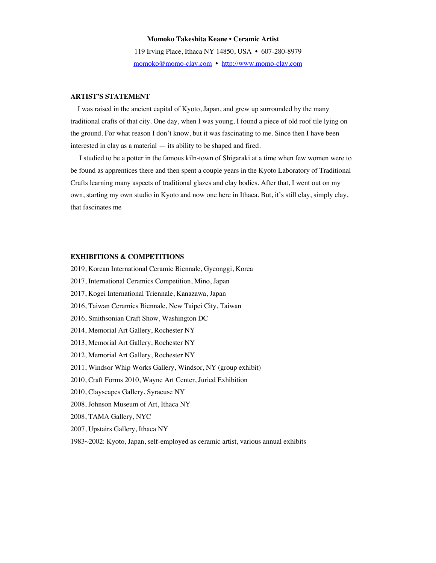## **Momoko Takeshita Keane • Ceramic Artist**

119 Irving Place, Ithaca NY 14850, USA • 607-280-8979 momoko@momo-clay.com • http://www.momo-clay.com

## **ARTIST'S STATEMENT**

 I was raised in the ancient capital of Kyoto, Japan, and grew up surrounded by the many traditional crafts of that city. One day, when I was young, I found a piece of old roof tile lying on the ground. For what reason I don't know, but it was fascinating to me. Since then I have been interested in clay as a material — its ability to be shaped and fired.

 I studied to be a potter in the famous kiln-town of Shigaraki at a time when few women were to be found as apprentices there and then spent a couple years in the Kyoto Laboratory of Traditional Crafts learning many aspects of traditional glazes and clay bodies. After that, I went out on my own, starting my own studio in Kyoto and now one here in Ithaca. But, it's still clay, simply clay, that fascinates me

#### **EXHIBITIONS & COMPETITIONS**

- 2019, Korean International Ceramic Biennale, Gyeonggi, Korea
- 2017, International Ceramics Competition, Mino, Japan
- 2017, Kogei International Triennale, Kanazawa, Japan
- 2016, Taiwan Ceramics Biennale, New Taipei City, Taiwan
- 2016, Smithsonian Craft Show, Washington DC
- 2014, Memorial Art Gallery, Rochester NY
- 2013, Memorial Art Gallery, Rochester NY
- 2012, Memorial Art Gallery, Rochester NY
- 2011, Windsor Whip Works Gallery, Windsor, NY (group exhibit)
- 2010, Craft Forms 2010, Wayne Art Center, Juried Exhibition
- 2010, Clayscapes Gallery, Syracuse NY
- 2008, Johnson Museum of Art, Ithaca NY
- 2008, TAMA Gallery, NYC
- 2007, Upstairs Gallery, Ithaca NY
- 1983~2002: Kyoto, Japan, self-employed as ceramic artist, various annual exhibits